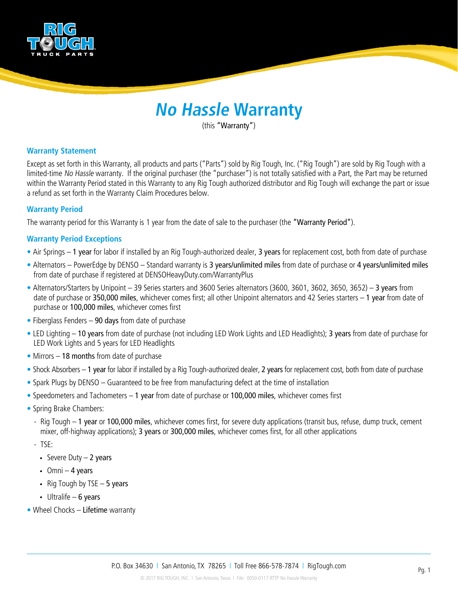

# **No Hassle Warranty**

(this "Warranty")

# **Warranty Statement**

Except as set forth in this Warranty, all products and parts ("Parts") sold by Rig Tough, Inc. ("Rig Tough") are sold by Rig Tough with a limited-time No Hassle warranty. If the original purchaser (the "purchaser") is not totally satisfied with a Part, the Part may be returned within the Warranty Period stated in this Warranty to any Rig Tough authorized distributor and Rig Tough will exchange the part or issue a refund as set forth in the Warranty Claim Procedures below.

## **Warranty Period**

The warranty period for this Warranty is 1 year from the date of sale to the purchaser (the "Warranty Period").

# **Warranty Period Exceptions**

- Air Springs 1 year for labor if installed by an Rig Tough-authorized dealer, 3 years for replacement cost, both from date of purchase
- Alternators PowerEdge by DENSO Standard warranty is 3 years/unlimited miles from date of purchase or 4 years/unlimited miles from date of purchase if registered at DENSOHeavyDuty.com/WarrantyPlus
- Alternators/Starters by Unipoint 39 Series starters and 3600 Series alternators (3600, 3601, 3602, 3650, 3652) 3 years from date of purchase or 350,000 miles, whichever comes first; all other Unipoint alternators and 42 Series starters – 1 year from date of purchase or 100,000 miles, whichever comes first
- Fiberglass Fenders 90 days from date of purchase
- LED Lighting 10 years from date of purchase (not including LED Work Lights and LED Headlights); 3 years from date of purchase for LED Work Lights and 5 years for LED Headlights
- Mirrors 18 months from date of purchase
- Shock Absorbers 1 year for labor if installed by a Rig Tough-authorized dealer, 2 years for replacement cost, both from date of purchase
- Spark Plugs by DENSO Guaranteed to be free from manufacturing defect at the time of installation
- Speedometers and Tachometers 1 year from date of purchase or 100,000 miles, whichever comes first
- Spring Brake Chambers:
	- Rig Tough 1 year or 100,000 miles, whichever comes first, for severe duty applications (transit bus, refuse, dump truck, cement mixer, off-highway applications); 3 years or 300,000 miles, whichever comes first, for all other applications
	- TSE:
		- Severe Duty  $-2$  years
		- $O$ mni 4 years
		- Rig Tough by TSE  $-5$  years
		- Ultralife 6 years
- Wheel Chocks Lifetime warranty